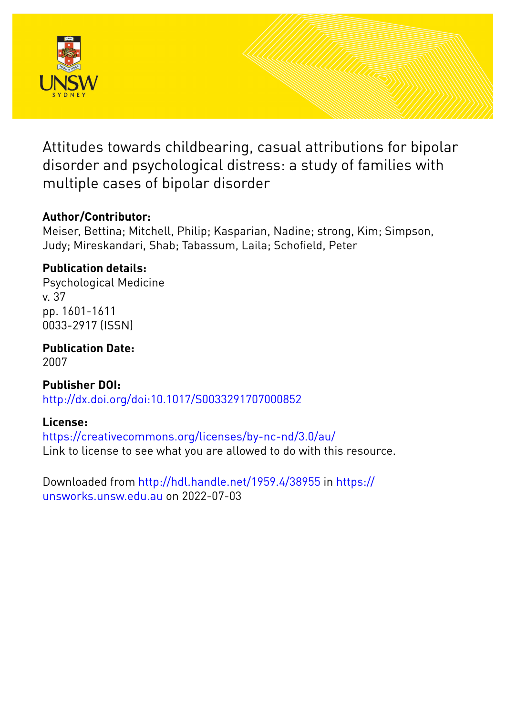

Attitudes towards childbearing, casual attributions for bipolar disorder and psychological distress: a study of families with multiple cases of bipolar disorder

# **Author/Contributor:**

Meiser, Bettina; Mitchell, Philip; Kasparian, Nadine; strong, Kim; Simpson, Judy; Mireskandari, Shab; Tabassum, Laila; Schofield, Peter

# **Publication details:**

Psychological Medicine v. 37 pp. 1601-1611 0033-2917 (ISSN)

**Publication Date:** 2007

**Publisher DOI:** [http://dx.doi.org/doi:10.1017/S0033291707000852](http://dx.doi.org/http://dx.doi.org/doi:10.1017/S0033291707000852)

# **License:**

<https://creativecommons.org/licenses/by-nc-nd/3.0/au/> Link to license to see what you are allowed to do with this resource.

Downloaded from <http://hdl.handle.net/1959.4/38955> in [https://](https://unsworks.unsw.edu.au) [unsworks.unsw.edu.au](https://unsworks.unsw.edu.au) on 2022-07-03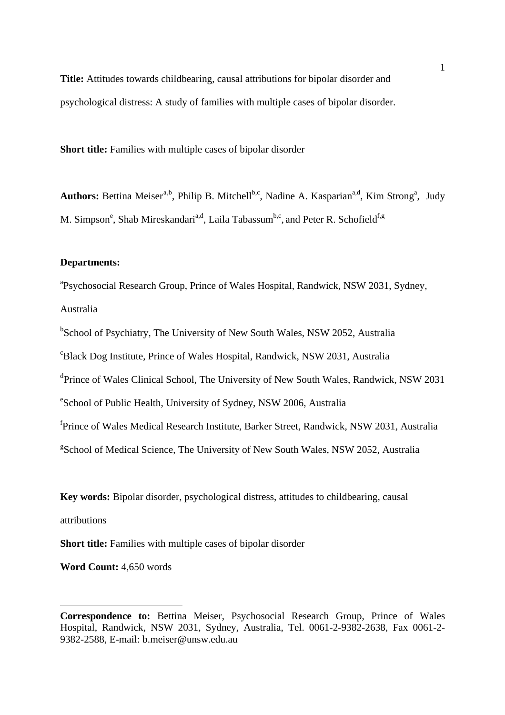**Title:** Attitudes towards childbearing, causal attributions for bipolar disorder and psychological distress: A study of families with multiple cases of bipolar disorder.

**Short title:** Families with multiple cases of bipolar disorder

Authors: Bettin[a](#page-1-0) Meiser<sup>a,b</sup>, Philip B. Mitchell<sup>b,c</sup>, Nadine A. Kasparian<sup>a,d</sup>, Kim Strong<sup>a</sup>, Judy M. Simpson<sup>e</sup>, Shab Mireskandari<sup>a,d</sup>, Laila Tabassum<sup>b,c</sup>, and Peter R. Schofield<sup>f,g</sup>

## **Departments:**

<sup>a</sup> Psychosocial Research Group, Prince of Wales Hospital, Randwick, NSW 2031, Sydney, Australia

<sup>b</sup>School of Psychiatry, The University of New South Wales, NSW 2052, Australia

c Black Dog Institute, Prince of Wales Hospital, Randwick, NSW 2031, Australia

<sup>d</sup>Prince of Wales Clinical School, The University of New South Wales, Randwick, NSW 2031

e School of Public Health, University of Sydney, NSW 2006, Australia

f Prince of Wales Medical Research Institute, Barker Street, Randwick, NSW 2031, Australia

g School of Medical Science, The University of New South Wales, NSW 2052, Australia

**Key words:** Bipolar disorder, psychological distress, attitudes to childbearing, causal attributions

**Short title:** Families with multiple cases of bipolar disorder

**Word Count:** 4,650 words

 $\overline{a}$ 

<span id="page-1-0"></span>**Correspondence to:** Bettina Meiser, Psychosocial Research Group, Prince of Wales Hospital, Randwick, NSW 2031, Sydney, Australia, Tel. 0061-2-9382-2638, Fax 0061-2- 9382-2588, E-mail: b.meiser@unsw.edu.au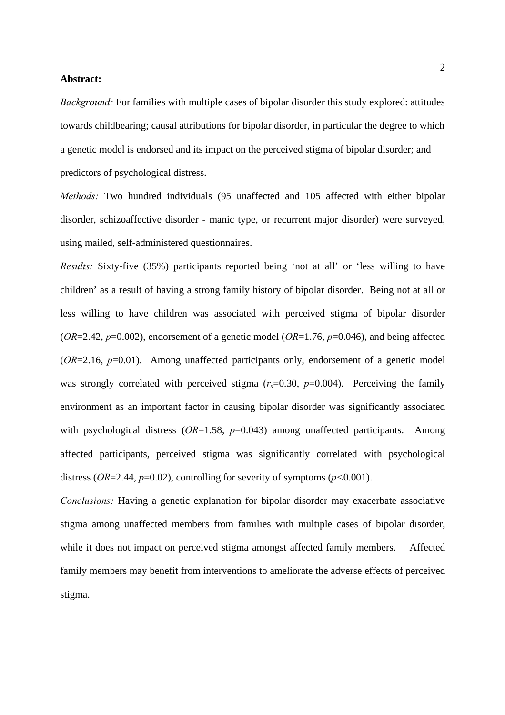## **Abstract:**

*Background:* For families with multiple cases of bipolar disorder this study explored: attitudes towards childbearing; causal attributions for bipolar disorder, in particular the degree to which a genetic model is endorsed and its impact on the perceived stigma of bipolar disorder; and predictors of psychological distress.

*Methods:* Two hundred individuals (95 unaffected and 105 affected with either bipolar disorder, schizoaffective disorder - manic type, or recurrent major disorder) were surveyed, using mailed, self-administered questionnaires.

*Results:* Sixty-five (35%) participants reported being 'not at all' or 'less willing to have children' as a result of having a strong family history of bipolar disorder. Being not at all or less willing to have children was associated with perceived stigma of bipolar disorder (*OR*=2.42, *p*=0.002), endorsement of a genetic model (*OR*=1.76, *p*=0.046), and being affected (*OR*=2.16, *p*=0.01). Among unaffected participants only, endorsement of a genetic model was strongly correlated with perceived stigma  $(r<sub>s</sub>=0.30, p=0.004)$ . Perceiving the family environment as an important factor in causing bipolar disorder was significantly associated with psychological distress (*OR*=1.58, *p*=0.043) among unaffected participants. Among affected participants, perceived stigma was significantly correlated with psychological distress ( $OR=2.44$ ,  $p=0.02$ ), controlling for severity of symptoms ( $p<0.001$ ).

*Conclusions:* Having a genetic explanation for bipolar disorder may exacerbate associative stigma among unaffected members from families with multiple cases of bipolar disorder, while it does not impact on perceived stigma amongst affected family members. Affected family members may benefit from interventions to ameliorate the adverse effects of perceived stigma.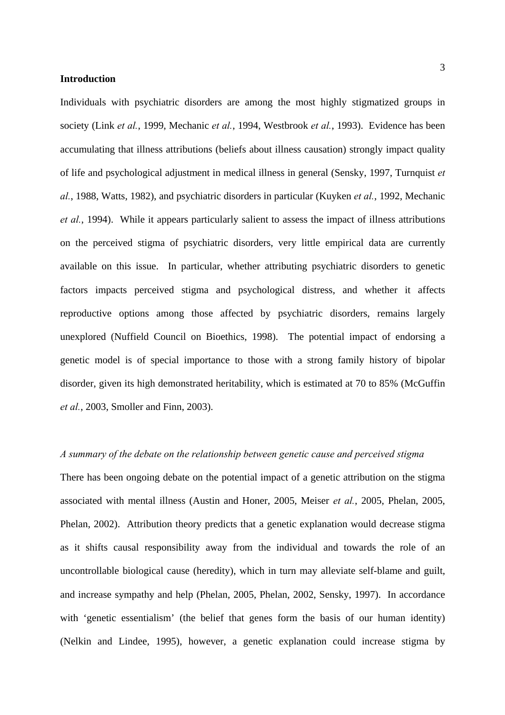# **Introduction**

Individuals with psychiatric disorders are among the most highly stigmatized groups in society (Link *et al.*, 1999, Mechanic *et al.*, 1994, Westbrook *et al.*, 1993). Evidence has been accumulating that illness attributions (beliefs about illness causation) strongly impact quality of life and psychological adjustment in medical illness in general (Sensky, 1997, Turnquist *et al.*, 1988, Watts, 1982), and psychiatric disorders in particular (Kuyken *et al.*, 1992, Mechanic *et al.*, 1994). While it appears particularly salient to assess the impact of illness attributions on the perceived stigma of psychiatric disorders, very little empirical data are currently available on this issue. In particular, whether attributing psychiatric disorders to genetic factors impacts perceived stigma and psychological distress, and whether it affects reproductive options among those affected by psychiatric disorders, remains largely unexplored (Nuffield Council on Bioethics, 1998). The potential impact of endorsing a genetic model is of special importance to those with a strong family history of bipolar disorder, given its high demonstrated heritability, which is estimated at 70 to 85% (McGuffin *et al.*, 2003, Smoller and Finn, 2003).

#### *A summary of the debate on the relationship between genetic cause and perceived stigma*

There has been ongoing debate on the potential impact of a genetic attribution on the stigma associated with mental illness (Austin and Honer, 2005, Meiser *et al.*, 2005, Phelan, 2005, Phelan, 2002). Attribution theory predicts that a genetic explanation would decrease stigma as it shifts causal responsibility away from the individual and towards the role of an uncontrollable biological cause (heredity), which in turn may alleviate self-blame and guilt, and increase sympathy and help (Phelan, 2005, Phelan, 2002, Sensky, 1997). In accordance with 'genetic essentialism' (the belief that genes form the basis of our human identity) (Nelkin and Lindee, 1995), however, a genetic explanation could increase stigma by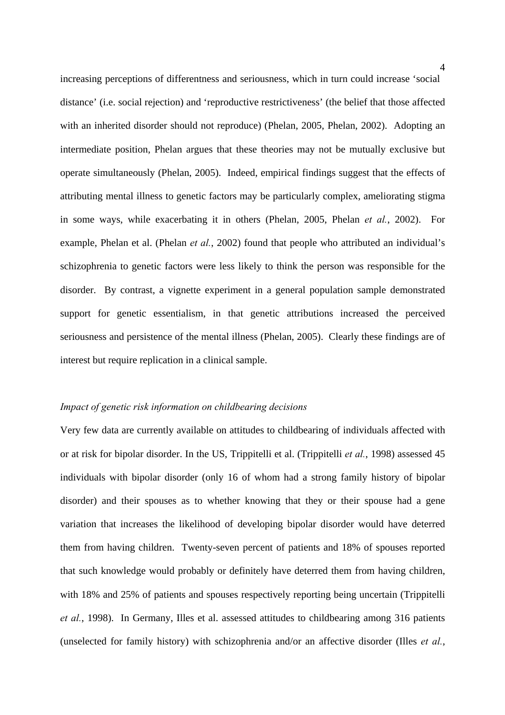increasing perceptions of differentness and seriousness, which in turn could increase 'social distance' (i.e. social rejection) and 'reproductive restrictiveness' (the belief that those affected with an inherited disorder should not reproduce) (Phelan, 2005, Phelan, 2002). Adopting an intermediate position, Phelan argues that these theories may not be mutually exclusive but operate simultaneously (Phelan, 2005). Indeed, empirical findings suggest that the effects of attributing mental illness to genetic factors may be particularly complex, ameliorating stigma in some ways, while exacerbating it in others (Phelan, 2005, Phelan *et al.*, 2002). For example, Phelan et al. (Phelan *et al.*, 2002) found that people who attributed an individual's schizophrenia to genetic factors were less likely to think the person was responsible for the disorder. By contrast, a vignette experiment in a general population sample demonstrated support for genetic essentialism, in that genetic attributions increased the perceived seriousness and persistence of the mental illness (Phelan, 2005). Clearly these findings are of interest but require replication in a clinical sample.

# *Impact of genetic risk information on childbearing decisions*

Very few data are currently available on attitudes to childbearing of individuals affected with or at risk for bipolar disorder. In the US, Trippitelli et al. (Trippitelli *et al.*, 1998) assessed 45 individuals with bipolar disorder (only 16 of whom had a strong family history of bipolar disorder) and their spouses as to whether knowing that they or their spouse had a gene variation that increases the likelihood of developing bipolar disorder would have deterred them from having children. Twenty-seven percent of patients and 18% of spouses reported that such knowledge would probably or definitely have deterred them from having children, with 18% and 25% of patients and spouses respectively reporting being uncertain (Trippitelli *et al.*, 1998). In Germany, Illes et al. assessed attitudes to childbearing among 316 patients (unselected for family history) with schizophrenia and/or an affective disorder (Illes *et al.*,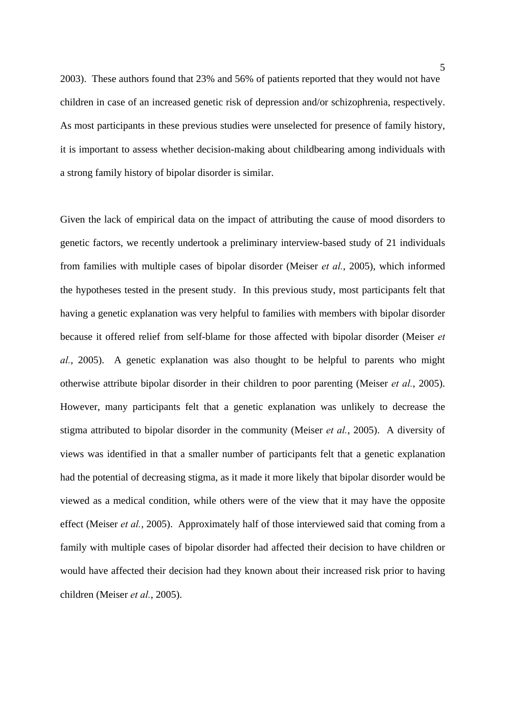2003). These authors found that 23% and 56% of patients reported that they would not have children in case of an increased genetic risk of depression and/or schizophrenia, respectively. As most participants in these previous studies were unselected for presence of family history, it is important to assess whether decision-making about childbearing among individuals with a strong family history of bipolar disorder is similar.

Given the lack of empirical data on the impact of attributing the cause of mood disorders to genetic factors, we recently undertook a preliminary interview-based study of 21 individuals from families with multiple cases of bipolar disorder (Meiser *et al.*, 2005), which informed the hypotheses tested in the present study. In this previous study, most participants felt that having a genetic explanation was very helpful to families with members with bipolar disorder because it offered relief from self-blame for those affected with bipolar disorder (Meiser *et al.*, 2005). A genetic explanation was also thought to be helpful to parents who might otherwise attribute bipolar disorder in their children to poor parenting (Meiser *et al.*, 2005). However, many participants felt that a genetic explanation was unlikely to decrease the stigma attributed to bipolar disorder in the community (Meiser *et al.*, 2005). A diversity of views was identified in that a smaller number of participants felt that a genetic explanation had the potential of decreasing stigma, as it made it more likely that bipolar disorder would be viewed as a medical condition, while others were of the view that it may have the opposite effect (Meiser *et al.*, 2005). Approximately half of those interviewed said that coming from a family with multiple cases of bipolar disorder had affected their decision to have children or would have affected their decision had they known about their increased risk prior to having children (Meiser *et al.*, 2005).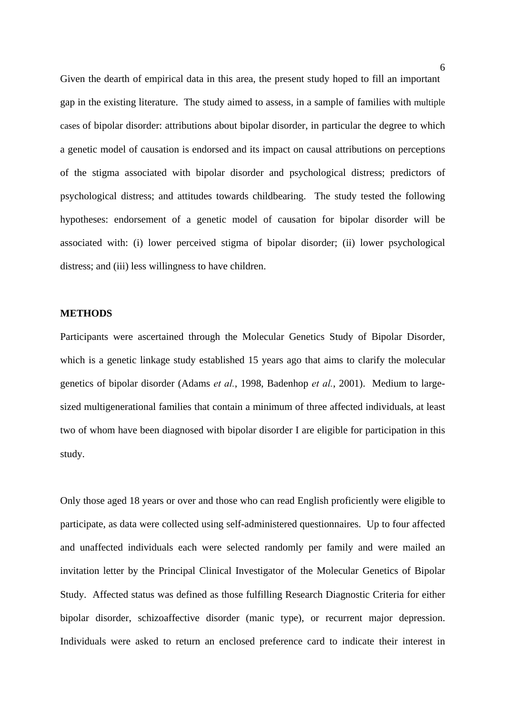Given the dearth of empirical data in this area, the present study hoped to fill an important gap in the existing literature. The study aimed to assess, in a sample of families with multiple cases of bipolar disorder: attributions about bipolar disorder, in particular the degree to which a genetic model of causation is endorsed and its impact on causal attributions on perceptions of the stigma associated with bipolar disorder and psychological distress; predictors of psychological distress; and attitudes towards childbearing. The study tested the following hypotheses: endorsement of a genetic model of causation for bipolar disorder will be associated with: (i) lower perceived stigma of bipolar disorder; (ii) lower psychological distress; and (iii) less willingness to have children.

# **METHODS**

Participants were ascertained through the Molecular Genetics Study of Bipolar Disorder, which is a genetic linkage study established 15 years ago that aims to clarify the molecular genetics of bipolar disorder (Adams *et al.*, 1998, Badenhop *et al.*, 2001). Medium to largesized multigenerational families that contain a minimum of three affected individuals, at least two of whom have been diagnosed with bipolar disorder I are eligible for participation in this study.

Only those aged 18 years or over and those who can read English proficiently were eligible to participate, as data were collected using self-administered questionnaires. Up to four affected and unaffected individuals each were selected randomly per family and were mailed an invitation letter by the Principal Clinical Investigator of the Molecular Genetics of Bipolar Study. Affected status was defined as those fulfilling Research Diagnostic Criteria for either bipolar disorder, schizoaffective disorder (manic type), or recurrent major depression. Individuals were asked to return an enclosed preference card to indicate their interest in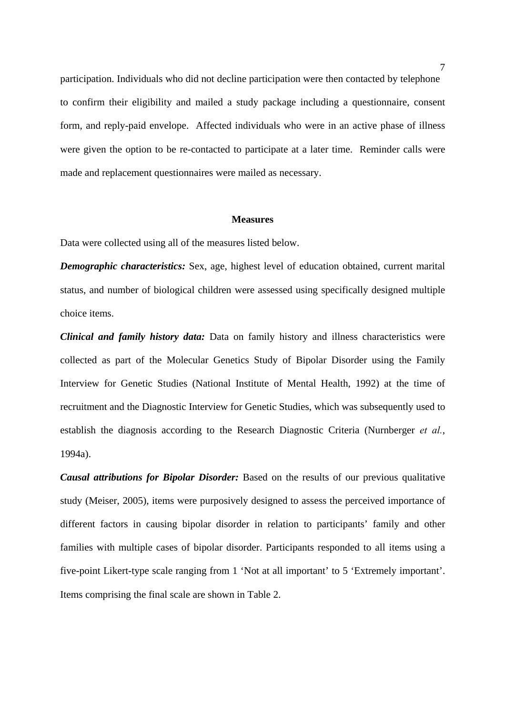participation. Individuals who did not decline participation were then contacted by telephone to confirm their eligibility and mailed a study package including a questionnaire, consent form, and reply-paid envelope. Affected individuals who were in an active phase of illness were given the option to be re-contacted to participate at a later time. Reminder calls were made and replacement questionnaires were mailed as necessary.

#### **Measures**

Data were collected using all of the measures listed below.

*Demographic characteristics:* Sex, age, highest level of education obtained, current marital status, and number of biological children were assessed using specifically designed multiple choice items.

*Clinical and family history data:* Data on family history and illness characteristics were collected as part of the Molecular Genetics Study of Bipolar Disorder using the Family Interview for Genetic Studies (National Institute of Mental Health, 1992) at the time of recruitment and the Diagnostic Interview for Genetic Studies, which was subsequently used to establish the diagnosis according to the Research Diagnostic Criteria (Nurnberger *et al.*, 1994a).

*Causal attributions for Bipolar Disorder:* Based on the results of our previous qualitative study (Meiser, 2005), items were purposively designed to assess the perceived importance of different factors in causing bipolar disorder in relation to participants' family and other families with multiple cases of bipolar disorder. Participants responded to all items using a five-point Likert-type scale ranging from 1 'Not at all important' to 5 'Extremely important'. Items comprising the final scale are shown in Table 2.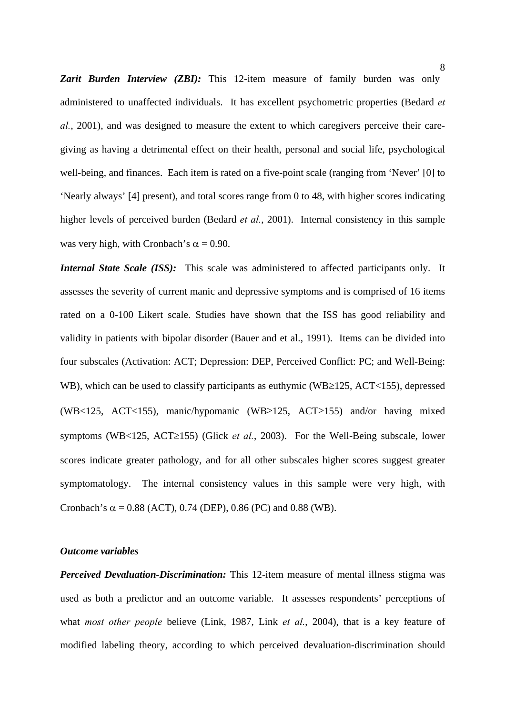*Zarit Burden Interview (ZBI):* This 12-item measure of family burden was only administered to unaffected individuals. It has excellent psychometric properties (Bedard *et al.*, 2001), and was designed to measure the extent to which caregivers perceive their caregiving as having a detrimental effect on their health, personal and social life, psychological well-being, and finances. Each item is rated on a five-point scale (ranging from 'Never' [0] to 'Nearly always' [4] present), and total scores range from 0 to 48, with higher scores indicating higher levels of perceived burden (Bedard *et al.*, 2001). Internal consistency in this sample was very high, with Cronbach's  $\alpha = 0.90$ .

*Internal State Scale (ISS):* This scale was administered to affected participants only. It assesses the severity of current manic and depressive symptoms and is comprised of 16 items rated on a 0-100 Likert scale. Studies have shown that the ISS has good reliability and validity in patients with bipolar disorder (Bauer and et al., 1991). Items can be divided into four subscales (Activation: ACT; Depression: DEP, Perceived Conflict: PC; and Well-Being: WB), which can be used to classify participants as euthymic (WB≥125, ACT<155), depressed (WB<125, ACT<155), manic/hypomanic (WB≥125, ACT≥155) and/or having mixed symptoms (WB<125, ACT≥155) (Glick *et al.*, 2003). For the Well-Being subscale, lower scores indicate greater pathology, and for all other subscales higher scores suggest greater symptomatology. The internal consistency values in this sample were very high, with Cronbach's  $\alpha$  = 0.88 (ACT), 0.74 (DEP), 0.86 (PC) and 0.88 (WB).

#### *Outcome variables*

*Perceived Devaluation-Discrimination:* This 12-item measure of mental illness stigma was used as both a predictor and an outcome variable. It assesses respondents' perceptions of what *most other people* believe (Link, 1987, Link *et al.*, 2004), that is a key feature of modified labeling theory, according to which perceived devaluation-discrimination should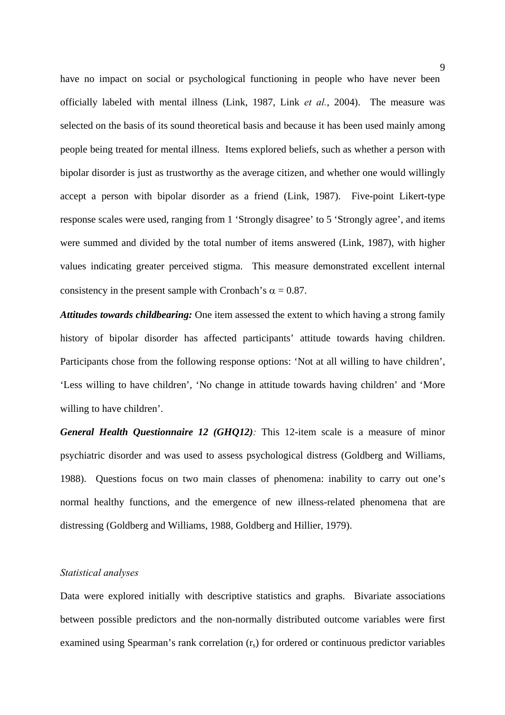have no impact on social or psychological functioning in people who have never been officially labeled with mental illness (Link, 1987, Link *et al.*, 2004). The measure was selected on the basis of its sound theoretical basis and because it has been used mainly among people being treated for mental illness. Items explored beliefs, such as whether a person with bipolar disorder is just as trustworthy as the average citizen, and whether one would willingly accept a person with bipolar disorder as a friend (Link, 1987). Five-point Likert-type response scales were used, ranging from 1 'Strongly disagree' to 5 'Strongly agree', and items were summed and divided by the total number of items answered (Link, 1987), with higher values indicating greater perceived stigma. This measure demonstrated excellent internal consistency in the present sample with Cronbach's  $\alpha = 0.87$ .

*Attitudes towards childbearing:* One item assessed the extent to which having a strong family history of bipolar disorder has affected participants' attitude towards having children. Participants chose from the following response options: 'Not at all willing to have children', 'Less willing to have children', 'No change in attitude towards having children' and 'More willing to have children'.

*General Health Questionnaire 12 (GHQ12):* This 12-item scale is a measure of minor psychiatric disorder and was used to assess psychological distress (Goldberg and Williams, 1988). Questions focus on two main classes of phenomena: inability to carry out one's normal healthy functions, and the emergence of new illness-related phenomena that are distressing (Goldberg and Williams, 1988, Goldberg and Hillier, 1979).

## *Statistical analyses*

Data were explored initially with descriptive statistics and graphs. Bivariate associations between possible predictors and the non-normally distributed outcome variables were first examined using Spearman's rank correlation  $(r<sub>s</sub>)$  for ordered or continuous predictor variables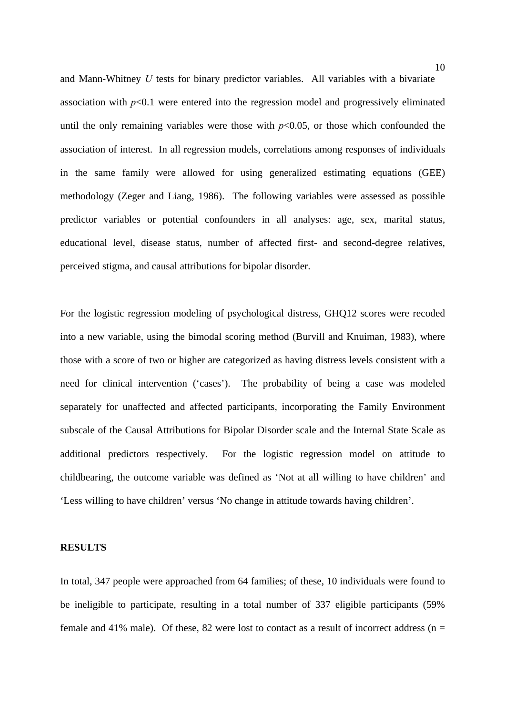and Mann-Whitney *U* tests for binary predictor variables. All variables with a bivariate association with  $p<0.1$  were entered into the regression model and progressively eliminated until the only remaining variables were those with  $p<0.05$ , or those which confounded the association of interest. In all regression models, correlations among responses of individuals in the same family were allowed for using generalized estimating equations (GEE) methodology (Zeger and Liang, 1986). The following variables were assessed as possible predictor variables or potential confounders in all analyses: age, sex, marital status, educational level, disease status, number of affected first- and second-degree relatives, perceived stigma, and causal attributions for bipolar disorder.

For the logistic regression modeling of psychological distress, GHQ12 scores were recoded into a new variable, using the bimodal scoring method (Burvill and Knuiman, 1983), where those with a score of two or higher are categorized as having distress levels consistent with a need for clinical intervention ('cases'). The probability of being a case was modeled separately for unaffected and affected participants, incorporating the Family Environment subscale of the Causal Attributions for Bipolar Disorder scale and the Internal State Scale as additional predictors respectively. For the logistic regression model on attitude to childbearing, the outcome variable was defined as 'Not at all willing to have children' and 'Less willing to have children' versus 'No change in attitude towards having children'.

#### **RESULTS**

In total, 347 people were approached from 64 families; of these, 10 individuals were found to be ineligible to participate, resulting in a total number of 337 eligible participants (59% female and 41% male). Of these, 82 were lost to contact as a result of incorrect address ( $n =$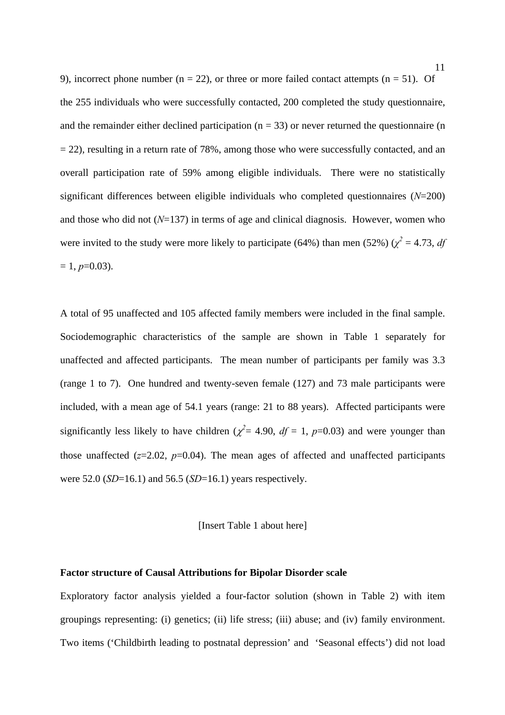9), incorrect phone number ( $n = 22$ ), or three or more failed contact attempts ( $n = 51$ ). Of the 255 individuals who were successfully contacted, 200 completed the study questionnaire, and the remainder either declined participation ( $n = 33$ ) or never returned the questionnaire (n  $= 22$ ), resulting in a return rate of 78%, among those who were successfully contacted, and an overall participation rate of 59% among eligible individuals. There were no statistically significant differences between eligible individuals who completed questionnaires (*N*=200) and those who did not  $(N=137)$  in terms of age and clinical diagnosis. However, women who were invited to the study were more likely to participate (64%) than men (52%) ( $\chi^2 = 4.73$ , *df*  $= 1, p=0.03$ ).

A total of 95 unaffected and 105 affected family members were included in the final sample. Sociodemographic characteristics of the sample are shown in Table 1 separately for unaffected and affected participants. The mean number of participants per family was 3.3 (range 1 to 7). One hundred and twenty-seven female (127) and 73 male participants were included, with a mean age of 54.1 years (range: 21 to 88 years). Affected participants were significantly less likely to have children ( $\chi^2$  = 4.90,  $df = 1$ ,  $p$ =0.03) and were younger than those unaffected  $(z=2.02, p=0.04)$ . The mean ages of affected and unaffected participants were 52.0 (*SD*=16.1) and 56.5 (*SD*=16.1) years respectively.

# [Insert Table 1 about here]

# **Factor structure of Causal Attributions for Bipolar Disorder scale**

Exploratory factor analysis yielded a four-factor solution (shown in Table 2) with item groupings representing: (i) genetics; (ii) life stress; (iii) abuse; and (iv) family environment. Two items ('Childbirth leading to postnatal depression' and 'Seasonal effects') did not load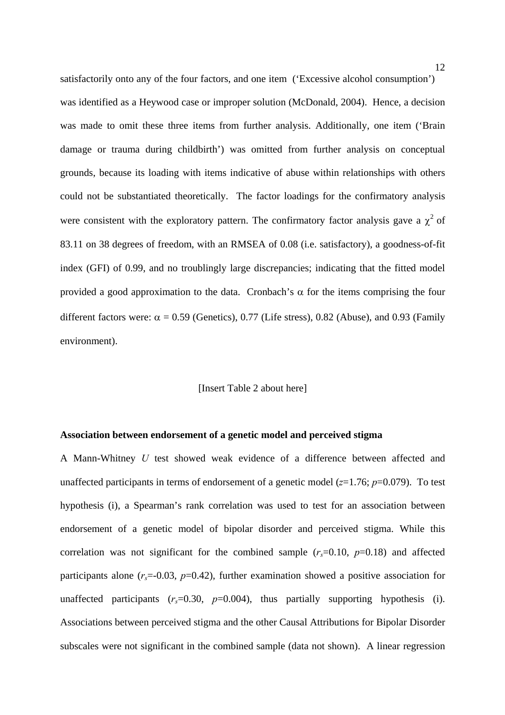satisfactorily onto any of the four factors, and one item ('Excessive alcohol consumption') was identified as a Heywood case or improper solution (McDonald, 2004). Hence, a decision was made to omit these three items from further analysis. Additionally, one item ('Brain damage or trauma during childbirth') was omitted from further analysis on conceptual grounds, because its loading with items indicative of abuse within relationships with others could not be substantiated theoretically. The factor loadings for the confirmatory analysis were consistent with the exploratory pattern. The confirmatory factor analysis gave a  $\chi^2$  of 83.11 on 38 degrees of freedom, with an RMSEA of 0.08 (i.e. satisfactory), a goodness-of-fit index (GFI) of 0.99, and no troublingly large discrepancies; indicating that the fitted model provided a good approximation to the data. Cronbach's  $\alpha$  for the items comprising the four different factors were:  $\alpha = 0.59$  (Genetics), 0.77 (Life stress), 0.82 (Abuse), and 0.93 (Family environment).

## [Insert Table 2 about here]

## **Association between endorsement of a genetic model and perceived stigma**

A Mann-Whitney *U* test showed weak evidence of a difference between affected and unaffected participants in terms of endorsement of a genetic model  $(z=1.76; p=0.079)$ . To test hypothesis (i), a Spearman's rank correlation was used to test for an association between endorsement of a genetic model of bipolar disorder and perceived stigma. While this correlation was not significant for the combined sample  $(r_s=0.10, p=0.18)$  and affected participants alone  $(r_s=0.03, p=0.42)$ , further examination showed a positive association for unaffected participants  $(r_s=0.30, p=0.004)$ , thus partially supporting hypothesis (i). Associations between perceived stigma and the other Causal Attributions for Bipolar Disorder subscales were not significant in the combined sample (data not shown). A linear regression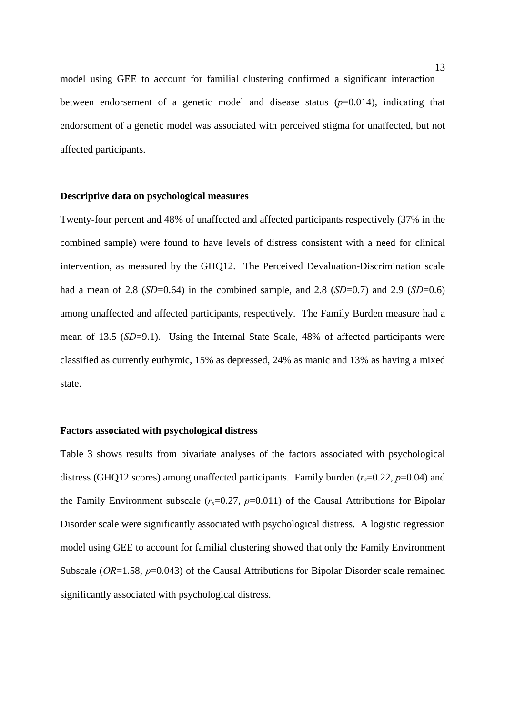model using GEE to account for familial clustering confirmed a significant interaction between endorsement of a genetic model and disease status (*p*=0.014), indicating that endorsement of a genetic model was associated with perceived stigma for unaffected, but not affected participants.

#### **Descriptive data on psychological measures**

Twenty-four percent and 48% of unaffected and affected participants respectively (37% in the combined sample) were found to have levels of distress consistent with a need for clinical intervention, as measured by the GHQ12. The Perceived Devaluation-Discrimination scale had a mean of 2.8 (*SD*=0.64) in the combined sample, and 2.8 (*SD*=0.7) and 2.9 (*SD*=0.6) among unaffected and affected participants, respectively. The Family Burden measure had a mean of 13.5 (*SD*=9.1). Using the Internal State Scale, 48% of affected participants were classified as currently euthymic, 15% as depressed, 24% as manic and 13% as having a mixed state.

### **Factors associated with psychological distress**

Table 3 shows results from bivariate analyses of the factors associated with psychological distress (GHQ12 scores) among unaffected participants. Family burden  $(r_s=0.22, p=0.04)$  and the Family Environment subscale  $(r_s=0.27, p=0.011)$  of the Causal Attributions for Bipolar Disorder scale were significantly associated with psychological distress. A logistic regression model using GEE to account for familial clustering showed that only the Family Environment Subscale (*OR*=1.58, *p*=0.043) of the Causal Attributions for Bipolar Disorder scale remained significantly associated with psychological distress.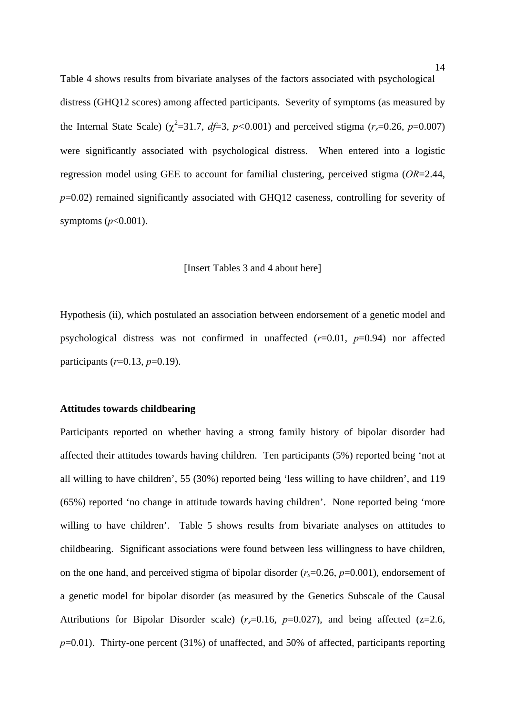Table 4 shows results from bivariate analyses of the factors associated with psychological distress (GHQ12 scores) among affected participants. Severity of symptoms (as measured by the Internal State Scale) ( $\chi^2$ =31.7, *df*=3, *p*<0.001) and perceived stigma (*r<sub>s</sub>*=0.26, *p*=0.007) were significantly associated with psychological distress. When entered into a logistic regression model using GEE to account for familial clustering, perceived stigma (*OR*=2.44, *p*=0.02) remained significantly associated with GHQ12 caseness, controlling for severity of symptoms  $(p<0.001)$ .

#### [Insert Tables 3 and 4 about here]

Hypothesis (ii), which postulated an association between endorsement of a genetic model and psychological distress was not confirmed in unaffected (*r*=0.01, *p*=0.94) nor affected participants (*r*=0.13, *p*=0.19).

### **Attitudes towards childbearing**

Participants reported on whether having a strong family history of bipolar disorder had affected their attitudes towards having children. Ten participants (5%) reported being 'not at all willing to have children', 55 (30%) reported being 'less willing to have children', and 119 (65%) reported 'no change in attitude towards having children'. None reported being 'more willing to have children'. Table 5 shows results from bivariate analyses on attitudes to childbearing. Significant associations were found between less willingness to have children, on the one hand, and perceived stigma of bipolar disorder  $(r_s=0.26, p=0.001)$ , endorsement of a genetic model for bipolar disorder (as measured by the Genetics Subscale of the Causal Attributions for Bipolar Disorder scale)  $(r_s=0.16, p=0.027)$ , and being affected (z=2.6, *p*=0.01). Thirty-one percent (31%) of unaffected, and 50% of affected, participants reporting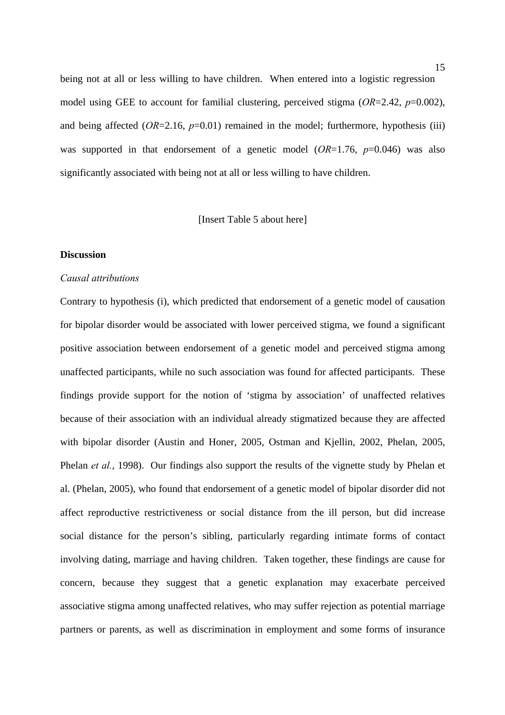being not at all or less willing to have children. When entered into a logistic regression model using GEE to account for familial clustering, perceived stigma (*OR*=2.42, *p*=0.002), and being affected  $(OR=2.16, p=0.01)$  remained in the model; furthermore, hypothesis (iii) was supported in that endorsement of a genetic model (*OR*=1.76, *p*=0.046) was also significantly associated with being not at all or less willing to have children.

#### [Insert Table 5 about here]

#### **Discussion**

#### *Causal attributions*

Contrary to hypothesis (i), which predicted that endorsement of a genetic model of causation for bipolar disorder would be associated with lower perceived stigma, we found a significant positive association between endorsement of a genetic model and perceived stigma among unaffected participants, while no such association was found for affected participants. These findings provide support for the notion of 'stigma by association' of unaffected relatives because of their association with an individual already stigmatized because they are affected with bipolar disorder (Austin and Honer, 2005, Ostman and Kjellin, 2002, Phelan, 2005, Phelan *et al.*, 1998). Our findings also support the results of the vignette study by Phelan et al. (Phelan, 2005), who found that endorsement of a genetic model of bipolar disorder did not affect reproductive restrictiveness or social distance from the ill person, but did increase social distance for the person's sibling, particularly regarding intimate forms of contact involving dating, marriage and having children. Taken together, these findings are cause for concern, because they suggest that a genetic explanation may exacerbate perceived associative stigma among unaffected relatives, who may suffer rejection as potential marriage partners or parents, as well as discrimination in employment and some forms of insurance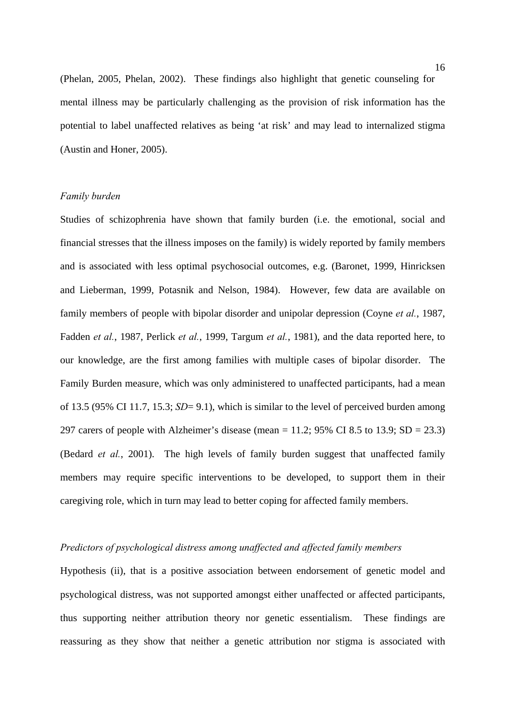(Phelan, 2005, Phelan, 2002). These findings also highlight that genetic counseling for mental illness may be particularly challenging as the provision of risk information has the potential to label unaffected relatives as being 'at risk' and may lead to internalized stigma (Austin and Honer, 2005).

## *Family burden*

Studies of schizophrenia have shown that family burden (i.e. the emotional, social and financial stresses that the illness imposes on the family) is widely reported by family members and is associated with less optimal psychosocial outcomes, e.g. (Baronet, 1999, Hinricksen and Lieberman, 1999, Potasnik and Nelson, 1984). However, few data are available on family members of people with bipolar disorder and unipolar depression (Coyne *et al.*, 1987, Fadden *et al.*, 1987, Perlick *et al.*, 1999, Targum *et al.*, 1981), and the data reported here, to our knowledge, are the first among families with multiple cases of bipolar disorder. The Family Burden measure, which was only administered to unaffected participants, had a mean of 13.5 (95% CI 11.7, 15.3; *SD*= 9.1), which is similar to the level of perceived burden among 297 carers of people with Alzheimer's disease (mean  $= 11.2$ ; 95% CI 8.5 to 13.9; SD  $= 23.3$ ) (Bedard *et al.*, 2001). The high levels of family burden suggest that unaffected family members may require specific interventions to be developed, to support them in their caregiving role, which in turn may lead to better coping for affected family members.

## *Predictors of psychological distress among unaffected and affected family members*

Hypothesis (ii), that is a positive association between endorsement of genetic model and psychological distress, was not supported amongst either unaffected or affected participants, thus supporting neither attribution theory nor genetic essentialism. These findings are reassuring as they show that neither a genetic attribution nor stigma is associated with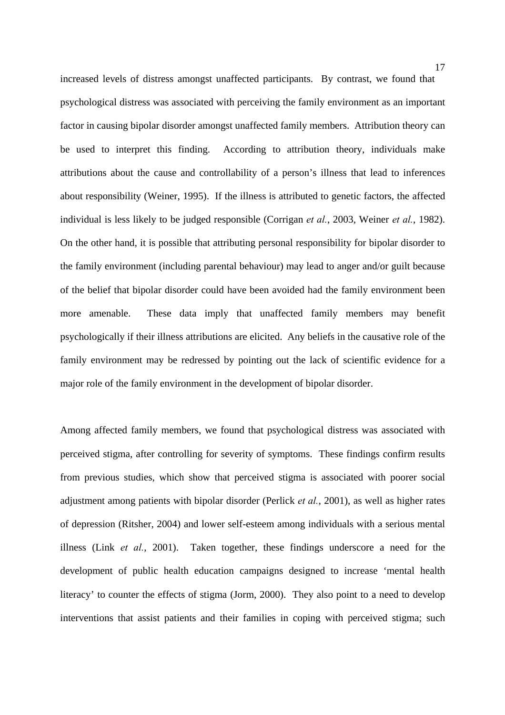increased levels of distress amongst unaffected participants. By contrast, we found that psychological distress was associated with perceiving the family environment as an important factor in causing bipolar disorder amongst unaffected family members. Attribution theory can be used to interpret this finding. According to attribution theory, individuals make attributions about the cause and controllability of a person's illness that lead to inferences about responsibility (Weiner, 1995). If the illness is attributed to genetic factors, the affected individual is less likely to be judged responsible (Corrigan *et al.*, 2003, Weiner *et al.*, 1982). On the other hand, it is possible that attributing personal responsibility for bipolar disorder to the family environment (including parental behaviour) may lead to anger and/or guilt because of the belief that bipolar disorder could have been avoided had the family environment been more amenable. These data imply that unaffected family members may benefit psychologically if their illness attributions are elicited. Any beliefs in the causative role of the family environment may be redressed by pointing out the lack of scientific evidence for a major role of the family environment in the development of bipolar disorder.

Among affected family members, we found that psychological distress was associated with perceived stigma, after controlling for severity of symptoms. These findings confirm results from previous studies, which show that perceived stigma is associated with poorer social adjustment among patients with bipolar disorder (Perlick *et al.*, 2001), as well as higher rates of depression (Ritsher, 2004) and lower self-esteem among individuals with a serious mental illness (Link *et al.*, 2001). Taken together, these findings underscore a need for the development of public health education campaigns designed to increase 'mental health literacy' to counter the effects of stigma (Jorm, 2000). They also point to a need to develop interventions that assist patients and their families in coping with perceived stigma; such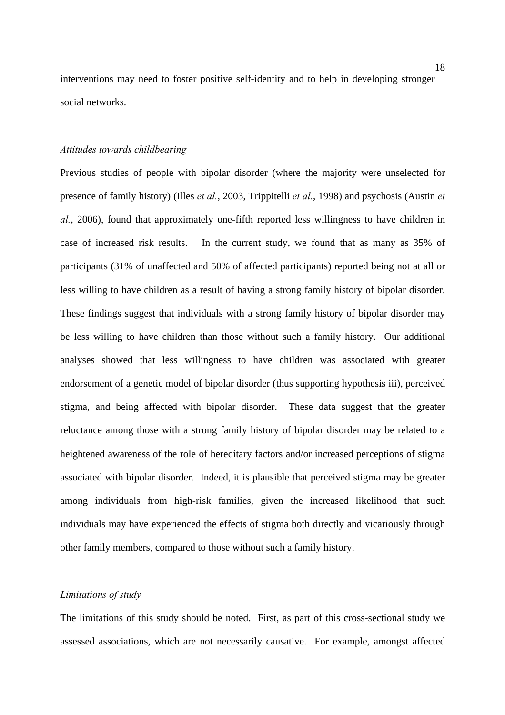interventions may need to foster positive self-identity and to help in developing stronger social networks.

## *Attitudes towards childbearing*

Previous studies of people with bipolar disorder (where the majority were unselected for presence of family history) (Illes *et al.*, 2003, Trippitelli *et al.*, 1998) and psychosis (Austin *et al.*, 2006), found that approximately one-fifth reported less willingness to have children in case of increased risk results. In the current study, we found that as many as 35% of participants (31% of unaffected and 50% of affected participants) reported being not at all or less willing to have children as a result of having a strong family history of bipolar disorder. These findings suggest that individuals with a strong family history of bipolar disorder may be less willing to have children than those without such a family history. Our additional analyses showed that less willingness to have children was associated with greater endorsement of a genetic model of bipolar disorder (thus supporting hypothesis iii), perceived stigma, and being affected with bipolar disorder. These data suggest that the greater reluctance among those with a strong family history of bipolar disorder may be related to a heightened awareness of the role of hereditary factors and/or increased perceptions of stigma associated with bipolar disorder. Indeed, it is plausible that perceived stigma may be greater among individuals from high-risk families, given the increased likelihood that such individuals may have experienced the effects of stigma both directly and vicariously through other family members, compared to those without such a family history.

#### *Limitations of study*

The limitations of this study should be noted. First, as part of this cross-sectional study we assessed associations, which are not necessarily causative. For example, amongst affected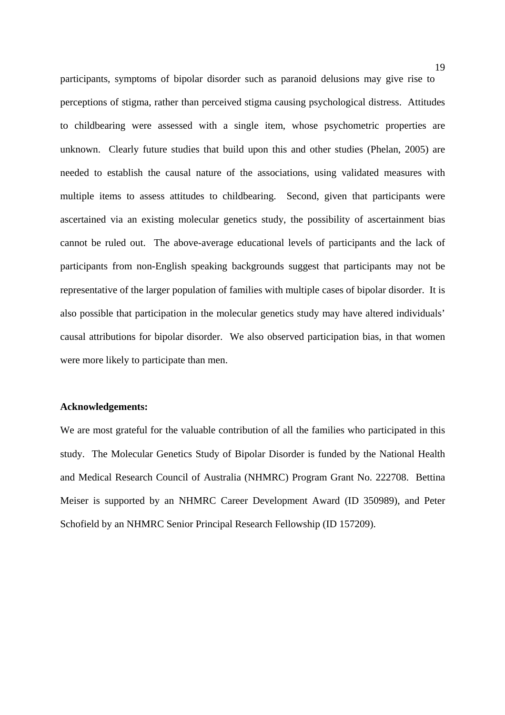participants, symptoms of bipolar disorder such as paranoid delusions may give rise to perceptions of stigma, rather than perceived stigma causing psychological distress. Attitudes to childbearing were assessed with a single item, whose psychometric properties are unknown. Clearly future studies that build upon this and other studies (Phelan, 2005) are needed to establish the causal nature of the associations, using validated measures with multiple items to assess attitudes to childbearing. Second, given that participants were ascertained via an existing molecular genetics study, the possibility of ascertainment bias cannot be ruled out. The above-average educational levels of participants and the lack of participants from non-English speaking backgrounds suggest that participants may not be representative of the larger population of families with multiple cases of bipolar disorder. It is also possible that participation in the molecular genetics study may have altered individuals' causal attributions for bipolar disorder. We also observed participation bias, in that women were more likely to participate than men.

#### **Acknowledgements:**

We are most grateful for the valuable contribution of all the families who participated in this study. The Molecular Genetics Study of Bipolar Disorder is funded by the National Health and Medical Research Council of Australia (NHMRC) Program Grant No. 222708. Bettina Meiser is supported by an NHMRC Career Development Award (ID 350989), and Peter Schofield by an NHMRC Senior Principal Research Fellowship (ID 157209).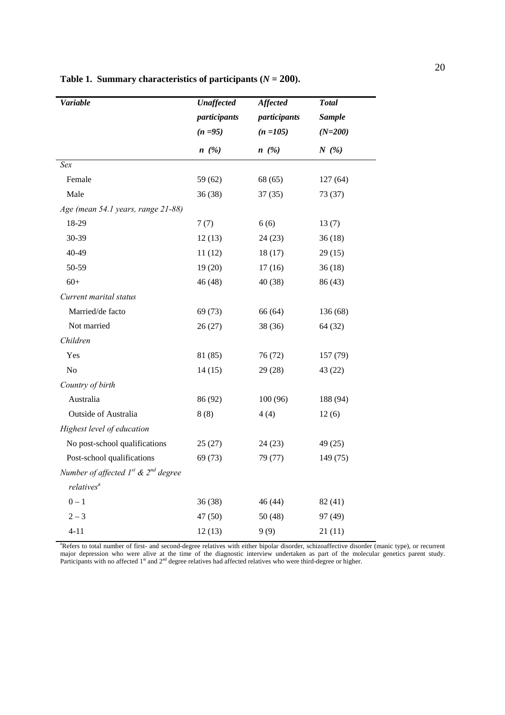| <b>Variable</b>                               | <b>Unaffected</b> | Affected     | <b>Total</b>  |
|-----------------------------------------------|-------------------|--------------|---------------|
|                                               | participants      | participants | <b>Sample</b> |
|                                               | $(n = 95)$        | $(n = 105)$  | $(N=200)$     |
|                                               | n(%)              | $n \ (\%)$   | N(%)          |
| Sex                                           |                   |              |               |
| Female                                        | 59 (62)           | 68 (65)      | 127(64)       |
| Male                                          | 36(38)            | 37(35)       | 73 (37)       |
| Age (mean 54.1 years, range 21-88)            |                   |              |               |
| 18-29                                         | 7(7)              | 6(6)         | 13(7)         |
| 30-39                                         | 12(13)            | 24(23)       | 36(18)        |
| 40-49                                         | 11(12)            | 18(17)       | 29(15)        |
| 50-59                                         | 19(20)            | 17(16)       | 36(18)        |
| $60+$                                         | 46 (48)           | 40 (38)      | 86 (43)       |
| Current marital status                        |                   |              |               |
| Married/de facto                              | 69 (73)           | 66 (64)      | 136 (68)      |
| Not married                                   | 26(27)            | 38 (36)      | 64 (32)       |
| Children                                      |                   |              |               |
| Yes                                           | 81 (85)           | 76 (72)      | 157 (79)      |
| N <sub>o</sub>                                | 14(15)            | 29 (28)      | 43 (22)       |
| Country of birth                              |                   |              |               |
| Australia                                     | 86 (92)           | 100 (96)     | 188 (94)      |
| <b>Outside of Australia</b>                   | 8(8)              | 4(4)         | 12(6)         |
| Highest level of education                    |                   |              |               |
| No post-school qualifications                 | 25(27)            | 24(23)       | 49 (25)       |
| Post-school qualifications                    | 69 (73)           | 79 (77)      | 149 (75)      |
| Number of affected $1^{st}$ & $2^{nd}$ degree |                   |              |               |
| relatives <sup>a</sup>                        |                   |              |               |
| $0 - 1$                                       | 36(38)            | 46 (44)      | 82 (41)       |
| $2 - 3$                                       | 47 (50)           | 50(48)       | 97 (49)       |
| $4 - 11$                                      | 12(13)            | 9(9)         | 21(11)        |

Table 1. Summary characteristics of participants  $(N = 200)$ .

a Refers to total number of first- and second-degree relatives with either bipolar disorder, schizoaffective disorder (manic type), or recurrent major depression who were alive at the time of the diagnostic interview undertaken as part of the molecular genetics parent study. Participants with no affected  $1<sup>st</sup>$  and  $2<sup>nd</sup>$  degree relatives had affected relatives who were third-degree or higher.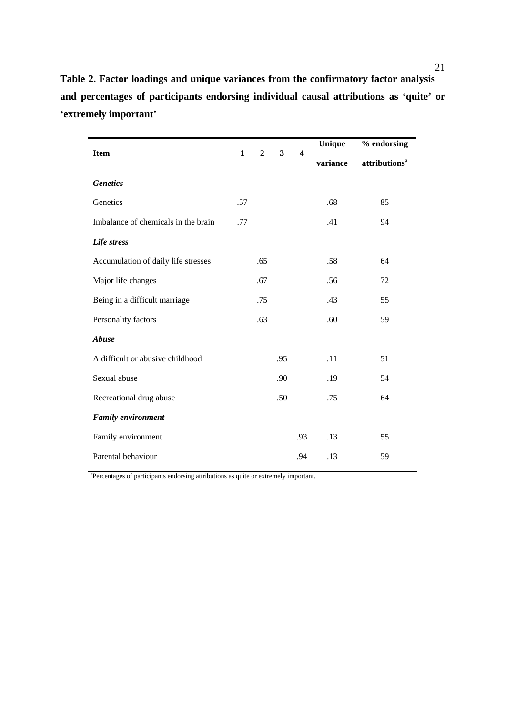|                                     |              |                |                         |                         | <b>Unique</b> | % endorsing               |
|-------------------------------------|--------------|----------------|-------------------------|-------------------------|---------------|---------------------------|
| <b>Item</b>                         | $\mathbf{1}$ | $\overline{2}$ | $\overline{\mathbf{3}}$ | $\overline{\mathbf{4}}$ | variance      | attributions <sup>a</sup> |
| <b>Genetics</b>                     |              |                |                         |                         |               |                           |
| Genetics                            | .57          |                |                         |                         | .68           | 85                        |
| Imbalance of chemicals in the brain | .77          |                |                         |                         | .41           | 94                        |
| Life stress                         |              |                |                         |                         |               |                           |
| Accumulation of daily life stresses |              | .65            |                         |                         | .58           | 64                        |
| Major life changes                  |              | .67            |                         |                         | .56           | 72                        |
| Being in a difficult marriage       |              | .75            |                         |                         | .43           | 55                        |
| Personality factors                 |              | .63            |                         |                         | .60           | 59                        |
| <b>Abuse</b>                        |              |                |                         |                         |               |                           |
| A difficult or abusive childhood    |              |                | .95                     |                         | .11           | 51                        |
| Sexual abuse                        |              |                | .90                     |                         | .19           | 54                        |
| Recreational drug abuse             |              |                | .50                     |                         | .75           | 64                        |
| <b>Family environment</b>           |              |                |                         |                         |               |                           |
| Family environment                  |              |                |                         | .93                     | .13           | 55                        |
| Parental behaviour                  |              |                |                         | .94                     | .13           | 59                        |

**Table 2. Factor loadings and unique variances from the confirmatory factor analysis and percentages of participants endorsing individual causal attributions as 'quite' or 'extremely important'** 

a Percentages of participants endorsing attributions as quite or extremely important.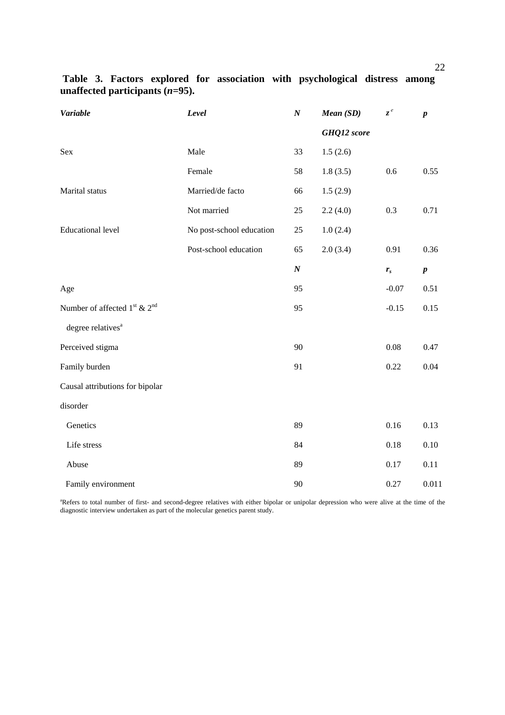| <b>Variable</b>                                      | Level                    | $\boldsymbol{N}$ | Mean (SD)   | $z^e$       | $\boldsymbol{p}$ |
|------------------------------------------------------|--------------------------|------------------|-------------|-------------|------------------|
|                                                      |                          |                  | GHQ12 score |             |                  |
| Sex                                                  | Male                     | 33               | 1.5(2.6)    |             |                  |
|                                                      | Female                   | 58               | 1.8(3.5)    | 0.6         | 0.55             |
| Marital status                                       | Married/de facto         | 66               | 1.5(2.9)    |             |                  |
|                                                      | Not married              | 25               | 2.2(4.0)    | 0.3         | 0.71             |
| <b>Educational level</b>                             | No post-school education | $25\,$           | 1.0(2.4)    |             |                  |
|                                                      | Post-school education    | 65               | 2.0(3.4)    | 0.91        | 0.36             |
|                                                      |                          | $\boldsymbol{N}$ |             | $\pmb{r}_s$ | $\pmb{p}$        |
| Age                                                  |                          | 95               |             | $-0.07$     | 0.51             |
| Number of affected $1^{\text{st}}$ & $2^{\text{nd}}$ |                          | 95               |             | $-0.15$     | 0.15             |
| degree relatives <sup>a</sup>                        |                          |                  |             |             |                  |
| Perceived stigma                                     |                          | 90               |             | 0.08        | 0.47             |
| Family burden                                        |                          | 91               |             | 0.22        | 0.04             |
| Causal attributions for bipolar                      |                          |                  |             |             |                  |
| disorder                                             |                          |                  |             |             |                  |
| Genetics                                             |                          | 89               |             | 0.16        | 0.13             |
| Life stress                                          |                          | 84               |             | 0.18        | 0.10             |
| Abuse                                                |                          | 89               |             | 0.17        | 0.11             |
| Family environment                                   |                          | 90               |             | 0.27        | 0.011            |

 **Table 3. Factors explored for association with psychological distress among unaffected participants (***n***=95).** 

<sup>a</sup>Refers to total number of first- and second-degree relatives with either bipolar or unipolar depression who were alive at the time of the diagnostic interview undertaken as part of the molecular genetics parent study.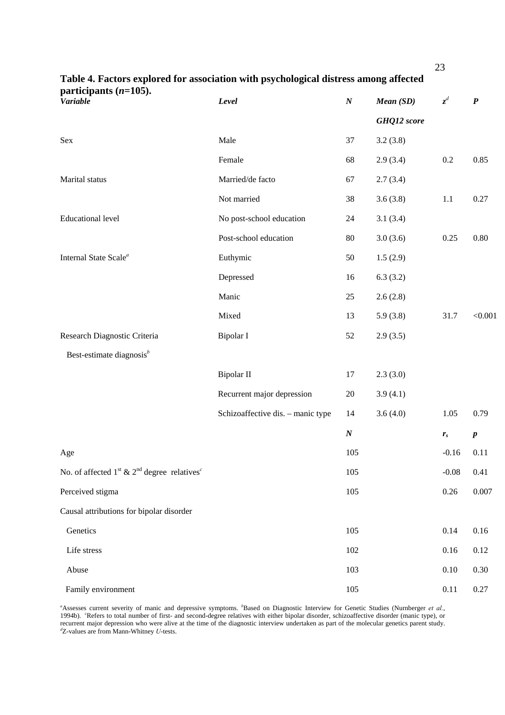| Table 4. Factors explored for association with psychological distress among affected<br>participants $(n=105)$ . |                                   |                  |             |                |                  |
|------------------------------------------------------------------------------------------------------------------|-----------------------------------|------------------|-------------|----------------|------------------|
| <b>Variable</b>                                                                                                  | Level                             | $\boldsymbol{N}$ | Mean (SD)   | $\mathbf{z}^d$ | $\boldsymbol{P}$ |
|                                                                                                                  |                                   |                  | GHQ12 score |                |                  |
| Sex                                                                                                              | Male                              | 37               | 3.2(3.8)    |                |                  |
|                                                                                                                  | Female                            | 68               | 2.9(3.4)    | 0.2            | 0.85             |
| Marital status                                                                                                   | Married/de facto                  | 67               | 2.7(3.4)    |                |                  |
|                                                                                                                  | Not married                       | 38               | 3.6(3.8)    | 1.1            | 0.27             |
| <b>Educational level</b>                                                                                         | No post-school education          | 24               | 3.1(3.4)    |                |                  |
|                                                                                                                  | Post-school education             | 80               | 3.0(3.6)    | 0.25           | 0.80             |
| Internal State Scale <sup>a</sup>                                                                                | Euthymic                          | $50\,$           | 1.5(2.9)    |                |                  |
|                                                                                                                  | Depressed                         | 16               | 6.3(3.2)    |                |                  |
|                                                                                                                  | Manic                             | $25\,$           | 2.6(2.8)    |                |                  |
|                                                                                                                  | Mixed                             | 13               | 5.9(3.8)    | 31.7           | < 0.001          |
| Research Diagnostic Criteria                                                                                     | Bipolar I                         | 52               | 2.9(3.5)    |                |                  |
| Best-estimate diagnosis $b$                                                                                      |                                   |                  |             |                |                  |
|                                                                                                                  | Bipolar II                        | 17               | 2.3(3.0)    |                |                  |
|                                                                                                                  | Recurrent major depression        | 20               | 3.9(4.1)    |                |                  |
|                                                                                                                  | Schizoaffective dis. - manic type | 14               | 3.6(4.0)    | 1.05           | 0.79             |
|                                                                                                                  |                                   | $\boldsymbol{N}$ |             | $\pmb{r}_s$    | $\boldsymbol{p}$ |
| Age                                                                                                              |                                   | 105              |             | $-0.16$        | 0.11             |
| No. of affected $1st$ & $2nd$ degree relatives <sup>c</sup>                                                      |                                   | 105              |             | $-0.08$        | 0.41             |
| Perceived stigma                                                                                                 |                                   | 105              |             | 0.26           | 0.007            |
| Causal attributions for bipolar disorder                                                                         |                                   |                  |             |                |                  |
| Genetics                                                                                                         |                                   | 105              |             | 0.14           | 0.16             |
| Life stress                                                                                                      |                                   | 102              |             | 0.16           | 0.12             |
| Abuse                                                                                                            |                                   | 103              |             | 0.10           | 0.30             |
| Family environment                                                                                               |                                   | 105              |             | 0.11           | 0.27             |

23

*a* Assesses current severity of manic and depressive symptoms. *<sup>b</sup>* Based on Diagnostic Interview for Genetic Studies (Nurnberger *et al.*, 1994b). 'Refers to total number of first- and second-degree relatives with either bipolar disorder, schizoaffective disorder (manic type), or recurrent major depression who were alive at the time of the diagnostic interview undertaken as part of the molecular genetics parent study. *d* Z-values are from Mann-Whitney *U*-tests.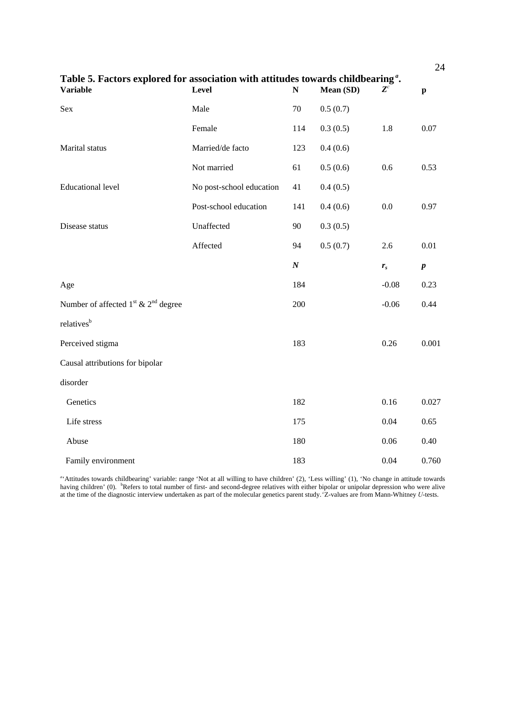| Table 5. Factors explored for association with attitudes towards childbearing <sup>a</sup> . |                          |                  |           |                |              |  |  |
|----------------------------------------------------------------------------------------------|--------------------------|------------------|-----------|----------------|--------------|--|--|
| <b>Variable</b>                                                                              | Level                    | $\mathbf N$      | Mean (SD) | $\mathbf{Z}^c$ | $\mathbf{p}$ |  |  |
| Sex                                                                                          | Male                     | 70               | 0.5(0.7)  |                |              |  |  |
|                                                                                              | Female                   | 114              | 0.3(0.5)  | 1.8            | 0.07         |  |  |
| Marital status                                                                               | Married/de facto         | 123              | 0.4(0.6)  |                |              |  |  |
|                                                                                              | Not married              | 61               | 0.5(0.6)  | 0.6            | 0.53         |  |  |
| <b>Educational level</b>                                                                     | No post-school education | 41               | 0.4(0.5)  |                |              |  |  |
|                                                                                              | Post-school education    | 141              | 0.4(0.6)  | 0.0            | 0.97         |  |  |
| Disease status                                                                               | Unaffected               | 90               | 0.3(0.5)  |                |              |  |  |
|                                                                                              | Affected                 | 94               | 0.5(0.7)  | 2.6            | 0.01         |  |  |
|                                                                                              |                          | $\boldsymbol{N}$ |           | $\pmb{r}_s$    | $\pmb{p}$    |  |  |
| Age                                                                                          |                          | 184              |           | $-0.08$        | 0.23         |  |  |
| Number of affected $1st$ & $2nd$ degree                                                      |                          | 200              |           | $-0.06$        | 0.44         |  |  |
| relatives <sup>b</sup>                                                                       |                          |                  |           |                |              |  |  |
| Perceived stigma                                                                             |                          | 183              |           | 0.26           | 0.001        |  |  |
| Causal attributions for bipolar                                                              |                          |                  |           |                |              |  |  |
| disorder                                                                                     |                          |                  |           |                |              |  |  |
| Genetics                                                                                     |                          | 182              |           | 0.16           | 0.027        |  |  |
| Life stress                                                                                  |                          | 175              |           | 0.04           | 0.65         |  |  |
| Abuse                                                                                        |                          | 180              |           | 0.06           | 0.40         |  |  |
| Family environment                                                                           |                          | 183              |           | 0.04           | 0.760        |  |  |

<sup>a</sup>'Attitudes towards childbearing' variable: range 'Not at all willing to have children' (2), 'Less willing' (1), 'No change in attitude towards having children' (0). <sup>b</sup>Refers to total number of first- and second-degree relatives with either bipolar or unipolar depression who were alive at the time of the diagnostic interview undertaken as part of the molecular genetics parent study. <sup>c</sup>Z-values are from Mann-Whitney *U*-tests.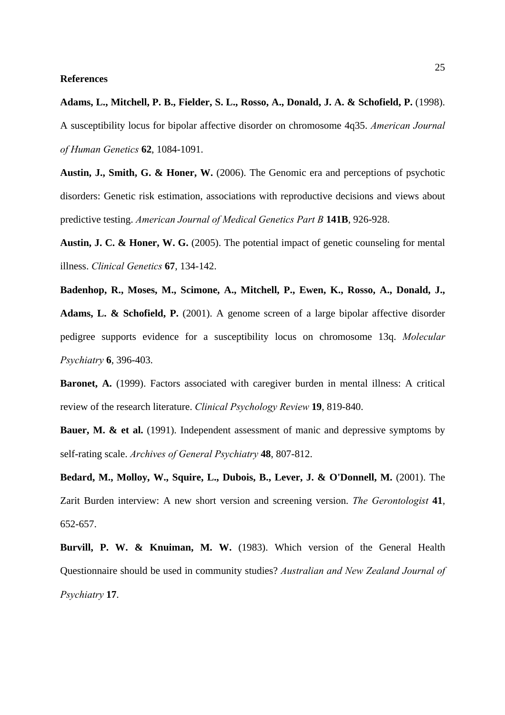#### **References**

**Adams, L., Mitchell, P. B., Fielder, S. L., Rosso, A., Donald, J. A. & Schofield, P.** (1998). A susceptibility locus for bipolar affective disorder on chromosome 4q35. *American Journal of Human Genetics* **62**, 1084-1091.

**Austin, J., Smith, G. & Honer, W.** (2006). The Genomic era and perceptions of psychotic disorders: Genetic risk estimation, associations with reproductive decisions and views about predictive testing. *American Journal of Medical Genetics Part B* **141B**, 926-928.

Austin, J. C. & Honer, W. G.  $(2005)$ . The potential impact of genetic counseling for mental illness. *Clinical Genetics* **67**, 134-142.

**Badenhop, R., Moses, M., Scimone, A., Mitchell, P., Ewen, K., Rosso, A., Donald, J.,**  Adams, L. & Schofield, P. (2001). A genome screen of a large bipolar affective disorder pedigree supports evidence for a susceptibility locus on chromosome 13q. *Molecular Psychiatry* **6**, 396-403.

**Baronet, A.** (1999). Factors associated with caregiver burden in mental illness: A critical review of the research literature. *Clinical Psychology Review* **19**, 819-840.

**Bauer, M. & et al.** (1991). Independent assessment of manic and depressive symptoms by self-rating scale. *Archives of General Psychiatry* **48**, 807-812.

Bedard, M., Molloy, W., Squire, L., Dubois, B., Lever, J. & O'Donnell, M. (2001). The Zarit Burden interview: A new short version and screening version. *The Gerontologist* **41**, 652-657.

**Burvill, P. W. & Knuiman, M. W.** (1983). Which version of the General Health Questionnaire should be used in community studies? *Australian and New Zealand Journal of Psychiatry* **17**.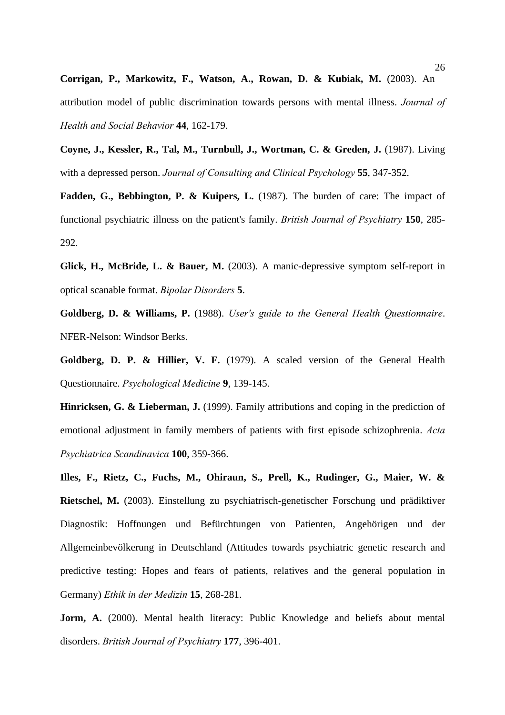**Corrigan, P., Markowitz, F., Watson, A., Rowan, D. & Kubiak, M.** (2003). An attribution model of public discrimination towards persons with mental illness. *Journal of Health and Social Behavior* **44**, 162-179.

**Coyne, J., Kessler, R., Tal, M., Turnbull, J., Wortman, C. & Greden, J.** (1987). Living with a depressed person. *Journal of Consulting and Clinical Psychology* **55**, 347-352.

Fadden, G., Bebbington, P. & Kuipers, L. (1987). The burden of care: The impact of functional psychiatric illness on the patient's family. *British Journal of Psychiatry* **150**, 285- 292.

Glick, H., McBride, L. & Bauer, M. (2003). A manic-depressive symptom self-report in optical scanable format. *Bipolar Disorders* **5**.

**Goldberg, D. & Williams, P.** (1988). *User's guide to the General Health Questionnaire*. NFER-Nelson: Windsor Berks.

**Goldberg, D. P. & Hillier, V. F.** (1979). A scaled version of the General Health Questionnaire. *Psychological Medicine* **9**, 139-145.

**Hinricksen, G. & Lieberman, J.** (1999). Family attributions and coping in the prediction of emotional adjustment in family members of patients with first episode schizophrenia. *Acta Psychiatrica Scandinavica* **100**, 359-366.

**Illes, F., Rietz, C., Fuchs, M., Ohiraun, S., Prell, K., Rudinger, G., Maier, W. & Rietschel, M.** (2003). Einstellung zu psychiatrisch-genetischer Forschung und prädiktiver Diagnostik: Hoffnungen und Befürchtungen von Patienten, Angehörigen und der Allgemeinbevölkerung in Deutschland (Attitudes towards psychiatric genetic research and predictive testing: Hopes and fears of patients, relatives and the general population in Germany) *Ethik in der Medizin* **15**, 268-281.

**Jorm, A.** (2000). Mental health literacy: Public Knowledge and beliefs about mental disorders. *British Journal of Psychiatry* **177**, 396-401.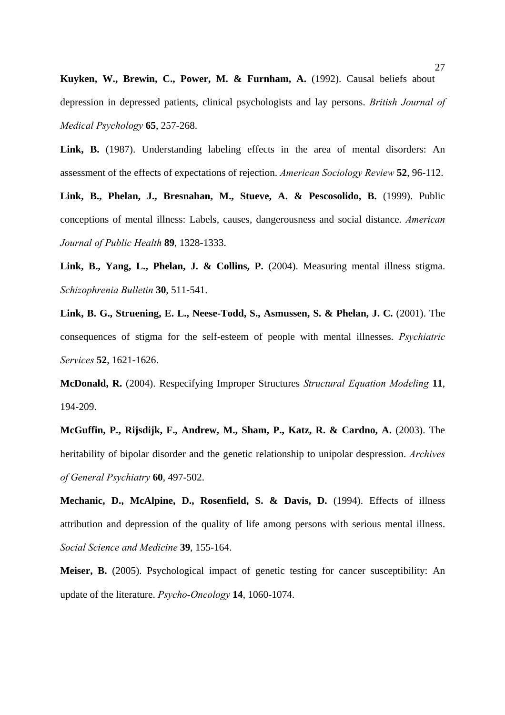Kuyken, W., Brewin, C., Power, M. & Furnham, A. (1992). Causal beliefs about depression in depressed patients, clinical psychologists and lay persons. *British Journal of Medical Psychology* **65**, 257-268.

Link, B. (1987). Understanding labeling effects in the area of mental disorders: An assessment of the effects of expectations of rejection. *American Sociology Review* **52**, 96-112.

Link, B., Phelan, J., Bresnahan, M., Stueve, A. & Pescosolido, B. (1999). Public conceptions of mental illness: Labels, causes, dangerousness and social distance. *American Journal of Public Health* **89**, 1328-1333.

Link, B., Yang, L., Phelan, J. & Collins, P. (2004). Measuring mental illness stigma. *Schizophrenia Bulletin* **30**, 511-541.

**Link, B. G., Struening, E. L., Neese-Todd, S., Asmussen, S. & Phelan, J. C.** (2001). The consequences of stigma for the self-esteem of people with mental illnesses. *Psychiatric Services* **52**, 1621-1626.

**McDonald, R.** (2004). Respecifying Improper Structures *Structural Equation Modeling* **11**, 194-209.

**McGuffin, P., Rijsdijk, F., Andrew, M., Sham, P., Katz, R. & Cardno, A.** (2003). The heritability of bipolar disorder and the genetic relationship to unipolar despression. *Archives of General Psychiatry* **60**, 497-502.

**Mechanic, D., McAlpine, D., Rosenfield, S. & Davis, D.** (1994). Effects of illness attribution and depression of the quality of life among persons with serious mental illness. *Social Science and Medicine* **39**, 155-164.

Meiser, B. (2005). Psychological impact of genetic testing for cancer susceptibility: An update of the literature. *Psycho-Oncology* **14**, 1060-1074.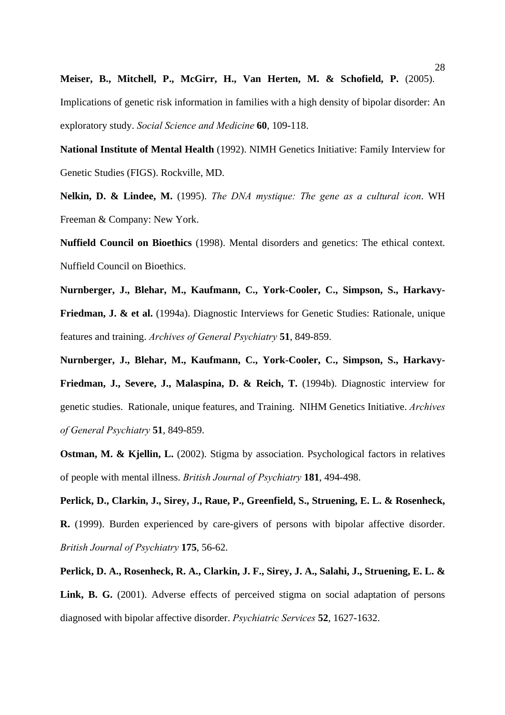**Meiser, B., Mitchell, P., McGirr, H., Van Herten, M. & Schofield, P.** (2005). Implications of genetic risk information in families with a high density of bipolar disorder: An exploratory study. *Social Science and Medicine* **60**, 109-118.

**National Institute of Mental Health** (1992). NIMH Genetics Initiative: Family Interview for Genetic Studies (FIGS). Rockville, MD.

**Nelkin, D. & Lindee, M.** (1995). *The DNA mystique: The gene as a cultural icon*. WH Freeman & Company: New York.

**Nuffield Council on Bioethics** (1998). Mental disorders and genetics: The ethical context. Nuffield Council on Bioethics.

**Nurnberger, J., Blehar, M., Kaufmann, C., York-Cooler, C., Simpson, S., Harkavy-Friedman, J. & et al.** (1994a). Diagnostic Interviews for Genetic Studies: Rationale, unique features and training. *Archives of General Psychiatry* **51**, 849-859.

**Nurnberger, J., Blehar, M., Kaufmann, C., York-Cooler, C., Simpson, S., Harkavy-Friedman, J., Severe, J., Malaspina, D. & Reich, T.** (1994b). Diagnostic interview for genetic studies. Rationale, unique features, and Training. NIHM Genetics Initiative. *Archives of General Psychiatry* **51**, 849-859.

**Ostman, M. & Kjellin, L.** (2002). Stigma by association. Psychological factors in relatives of people with mental illness. *British Journal of Psychiatry* **181**, 494-498.

**Perlick, D., Clarkin, J., Sirey, J., Raue, P., Greenfield, S., Struening, E. L. & Rosenheck, R.** (1999). Burden experienced by care-givers of persons with bipolar affective disorder. *British Journal of Psychiatry* **175**, 56-62.

**Perlick, D. A., Rosenheck, R. A., Clarkin, J. F., Sirey, J. A., Salahi, J., Struening, E. L. &**  Link, B. G. (2001). Adverse effects of perceived stigma on social adaptation of persons diagnosed with bipolar affective disorder. *Psychiatric Services* **52**, 1627-1632.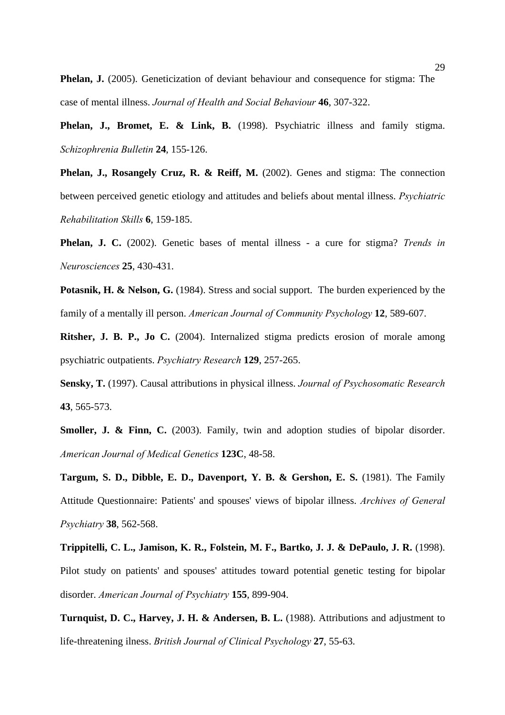**Phelan, J.** (2005). Geneticization of deviant behaviour and consequence for stigma: The case of mental illness. *Journal of Health and Social Behaviour* **46**, 307-322.

**Phelan, J., Bromet, E. & Link, B.** (1998). Psychiatric illness and family stigma. *Schizophrenia Bulletin* **24**, 155-126.

**Phelan, J., Rosangely Cruz, R. & Reiff, M.** (2002). Genes and stigma: The connection between perceived genetic etiology and attitudes and beliefs about mental illness. *Psychiatric Rehabilitation Skills* **6**, 159-185.

**Phelan, J. C.** (2002). Genetic bases of mental illness - a cure for stigma? *Trends in Neurosciences* **25**, 430-431.

Potasnik, H. & Nelson, G. (1984). Stress and social support. The burden experienced by the family of a mentally ill person. *American Journal of Community Psychology* **12**, 589-607.

**Ritsher, J. B. P., Jo C.** (2004). Internalized stigma predicts erosion of morale among psychiatric outpatients. *Psychiatry Research* **129**, 257-265.

**Sensky, T.** (1997). Causal attributions in physical illness. *Journal of Psychosomatic Research* **43**, 565-573.

**Smoller, J. & Finn, C.** (2003). Family, twin and adoption studies of bipolar disorder. *American Journal of Medical Genetics* **123C**, 48-58.

**Targum, S. D., Dibble, E. D., Davenport, Y. B. & Gershon, E. S.** (1981). The Family Attitude Questionnaire: Patients' and spouses' views of bipolar illness. *Archives of General Psychiatry* **38**, 562-568.

**Trippitelli, C. L., Jamison, K. R., Folstein, M. F., Bartko, J. J. & DePaulo, J. R.** (1998). Pilot study on patients' and spouses' attitudes toward potential genetic testing for bipolar disorder. *American Journal of Psychiatry* **155**, 899-904.

**Turnquist, D. C., Harvey, J. H. & Andersen, B. L.** (1988). Attributions and adjustment to life-threatening ilness. *British Journal of Clinical Psychology* **27**, 55-63.